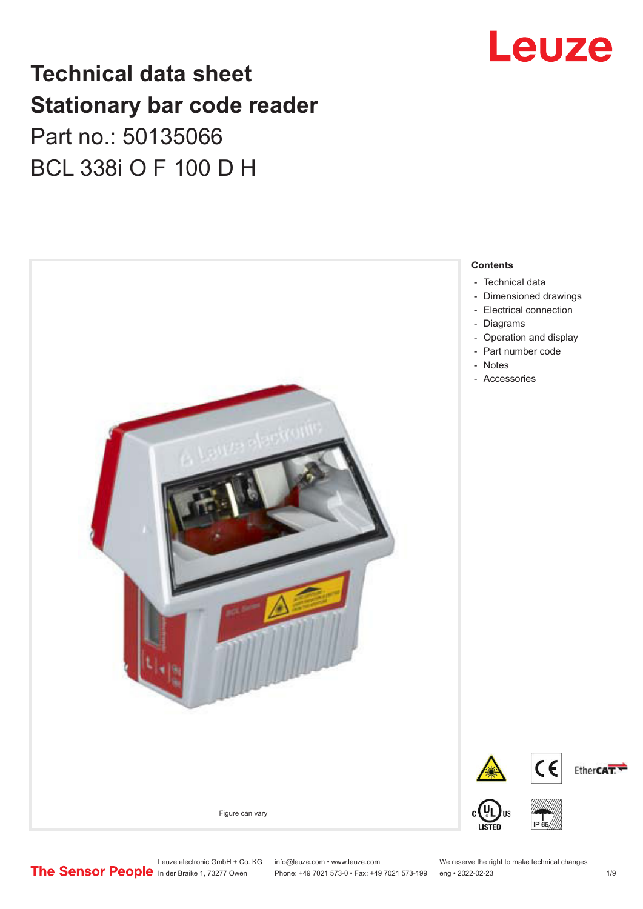# **Technical data sheet Stationary bar code reader** Part no.: 50135066 BCL 338i O F 100 D H



# Leuze

- [Dimensioned drawings](#page-2-0)
- 
- [Operation and display](#page-4-0)

Leuze electronic GmbH + Co. KG info@leuze.com • www.leuze.com We reserve the right to make technical changes<br>
The Sensor People in der Braike 1, 73277 Owen Phone: +49 7021 573-0 • Fax: +49 7021 573-199 eng • 2022-02-23 Phone: +49 7021 573-0 • Fax: +49 7021 573-199 eng • 2022-02-23 1 /9

Ether**CAT.**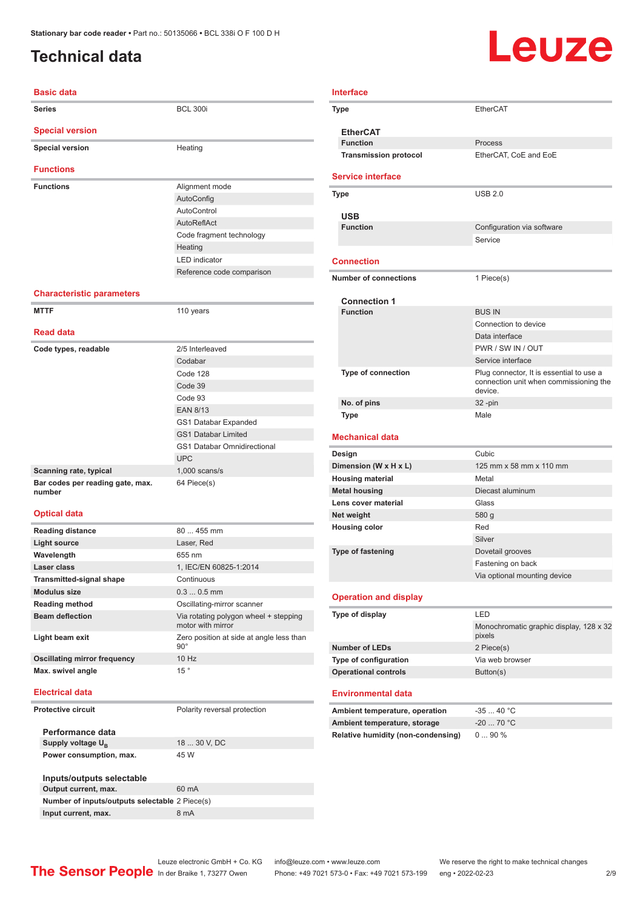## <span id="page-1-0"></span>**Technical data**

# Leuze

| <b>Series</b>                              | <b>BCL 300i</b>                                            |
|--------------------------------------------|------------------------------------------------------------|
| <b>Special version</b>                     |                                                            |
| <b>Special version</b>                     | Heating                                                    |
| <b>Functions</b>                           |                                                            |
| <b>Functions</b>                           | Alignment mode                                             |
|                                            | AutoConfig                                                 |
|                                            | AutoControl                                                |
|                                            | AutoReflAct                                                |
|                                            | Code fragment technology                                   |
|                                            | Heating                                                    |
|                                            | <b>LED</b> indicator                                       |
|                                            | Reference code comparison                                  |
|                                            |                                                            |
| <b>Characteristic parameters</b>           |                                                            |
| <b>MTTF</b>                                | 110 years                                                  |
| <b>Read data</b>                           |                                                            |
| Code types, readable                       | 2/5 Interleaved                                            |
|                                            | Codabar                                                    |
|                                            | Code 128                                                   |
|                                            | Code 39                                                    |
|                                            | Code 93                                                    |
|                                            | <b>EAN 8/13</b>                                            |
|                                            | GS1 Databar Expanded                                       |
|                                            | <b>GS1 Databar Limited</b>                                 |
|                                            | <b>GS1 Databar Omnidirectional</b>                         |
|                                            | <b>UPC</b>                                                 |
| Scanning rate, typical                     | $1,000$ scans/s                                            |
| Bar codes per reading gate, max.<br>number | 64 Piece(s)                                                |
| <b>Optical data</b>                        |                                                            |
| <b>Reading distance</b>                    | 80  455 mm                                                 |
| <b>Light source</b>                        | Laser, Red                                                 |
| Wavelength                                 | 655 nm                                                     |
| Laser class                                | 1, IEC/EN 60825-1:2014                                     |
| <b>Transmitted-signal shape</b>            | Continuous                                                 |
| <b>Modulus size</b>                        | $0.30.5$ mm                                                |
| Reading method                             | Oscillating-mirror scanner                                 |
| <b>Beam deflection</b>                     | Via rotating polygon wheel + stepping<br>motor with mirror |
| Light beam exit                            | Zero position at side at angle less than<br>$90^{\circ}$   |
| <b>Oscillating mirror frequency</b>        | 10 Hz                                                      |
| Max. swivel angle                          | 15°                                                        |
| <b>Electrical data</b>                     |                                                            |
|                                            |                                                            |

| <b>Interface</b>                            |                                                   |
|---------------------------------------------|---------------------------------------------------|
| Type                                        | EtherCAT                                          |
|                                             |                                                   |
| <b>EtherCAT</b>                             |                                                   |
| <b>Function</b>                             | Process                                           |
| <b>Transmission protocol</b>                | EtherCAT, CoE and EoE                             |
| <b>Service interface</b>                    |                                                   |
| <b>Type</b>                                 | <b>USB 2.0</b>                                    |
| <b>USB</b>                                  |                                                   |
| <b>Function</b>                             | Configuration via software                        |
|                                             | Service                                           |
|                                             |                                                   |
| <b>Connection</b>                           |                                                   |
| <b>Number of connections</b>                | 1 Piece(s)                                        |
| <b>Connection 1</b>                         |                                                   |
| <b>Function</b>                             | <b>BUS IN</b>                                     |
|                                             | Connection to device                              |
|                                             | Data interface<br>PWR / SW IN / OUT               |
|                                             | Service interface                                 |
| Type of connection                          | Plug connector, It is essential to use a          |
|                                             | connection unit when commissioning the<br>device. |
| No. of pins                                 | $32 - pin$                                        |
| <b>Type</b>                                 | Male                                              |
| <b>Mechanical data</b>                      |                                                   |
|                                             |                                                   |
| Design                                      | Cubic                                             |
| Dimension (W x H x L)                       | 125 mm x 58 mm x 110 mm                           |
| <b>Housing material</b>                     | Metal                                             |
| <b>Metal housing</b><br>Lens cover material | Diecast aluminum<br>Glass                         |
| Net weight                                  | 580 g                                             |
| <b>Housing color</b>                        | Red                                               |
|                                             | Silver                                            |
| <b>Type of fastening</b>                    | Dovetail grooves                                  |
|                                             | Fastening on back                                 |
|                                             | Via optional mounting device                      |
| <b>Operation and display</b>                |                                                   |
| Type of display                             | LED                                               |
|                                             | Monochromatic graphic display, 128 x 32<br>pixels |
| <b>Number of LEDs</b>                       | 2 Piece(s)                                        |
| Type of configuration                       | Via web browser                                   |
| <b>Operational controls</b>                 | Button(s)                                         |
| <b>Environmental data</b>                   |                                                   |
| Ambient temperature, operation              | $-3540 °C$                                        |
| Ambient temperature, storage                | $-20$ 70 °C                                       |
| <b>Relative humidity (non-condensing)</b>   | 090%                                              |
|                                             |                                                   |
|                                             |                                                   |
|                                             |                                                   |
|                                             |                                                   |
|                                             |                                                   |

#### **Electrical data**

#### **Protective circuit** Polarity reversal protection

| Performance data                               |              |  |  |  |
|------------------------------------------------|--------------|--|--|--|
| Supply voltage U <sub>p</sub>                  | 18  30 V. DC |  |  |  |
| Power consumption, max.                        | 45 W         |  |  |  |
|                                                |              |  |  |  |
| Inputs/outputs selectable                      |              |  |  |  |
| Output current, max.                           | 60 mA        |  |  |  |
| Number of inputs/outputs selectable 2 Piece(s) |              |  |  |  |

**Input current, max.** 8 mA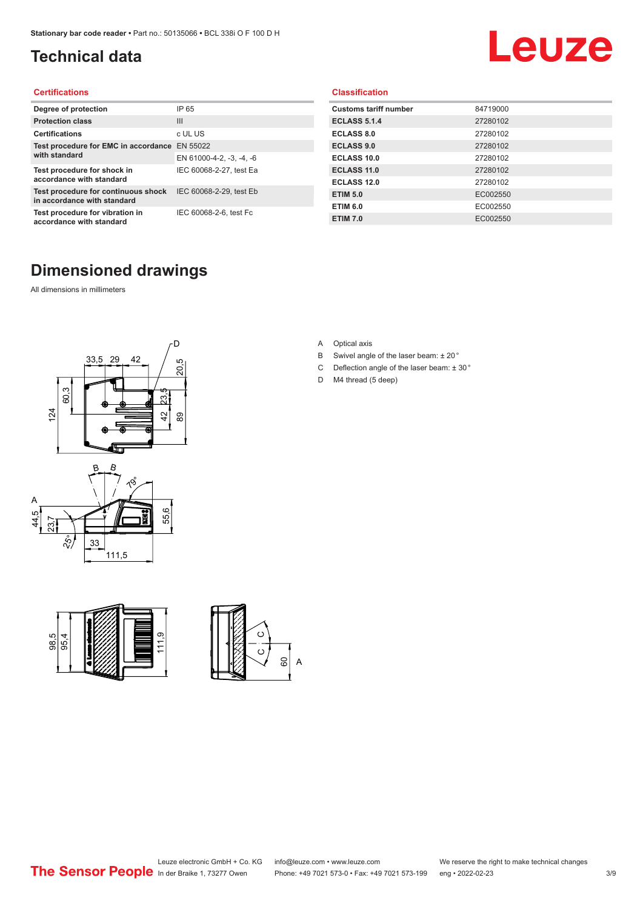# <span id="page-2-0"></span>**Technical data**

# Leuze

#### **Certifications**

| Degree of protection                                               | IP 65                    |
|--------------------------------------------------------------------|--------------------------|
| <b>Protection class</b>                                            | $\mathbf{III}$           |
| <b>Certifications</b>                                              | c UL US                  |
| Test procedure for EMC in accordance                               | EN 55022                 |
| with standard                                                      | EN 61000-4-2, -3, -4, -6 |
| Test procedure for shock in<br>accordance with standard            | IEC 60068-2-27, test Ea  |
| Test procedure for continuous shock<br>in accordance with standard | IEC 60068-2-29, test Eb  |
| Test procedure for vibration in<br>accordance with standard        | IEC 60068-2-6, test Fc   |

#### **Classification**

| <b>Customs tariff number</b> | 84719000 |
|------------------------------|----------|
| <b>ECLASS 5.1.4</b>          | 27280102 |
| <b>ECLASS 8.0</b>            | 27280102 |
| <b>ECLASS 9.0</b>            | 27280102 |
| ECLASS 10.0                  | 27280102 |
| ECLASS 11.0                  | 27280102 |
| ECLASS 12.0                  | 27280102 |
| <b>ETIM 5.0</b>              | EC002550 |
| <b>ETIM 6.0</b>              | EC002550 |
| <b>ETIM 7.0</b>              | EC002550 |

## **Dimensioned drawings**

All dimensions in millimeters









- B Swivel angle of the laser beam: ± 20 °
- C Deflection angle of the laser beam:  $\pm$  30 $^{\circ}$
- D M4 thread (5 deep)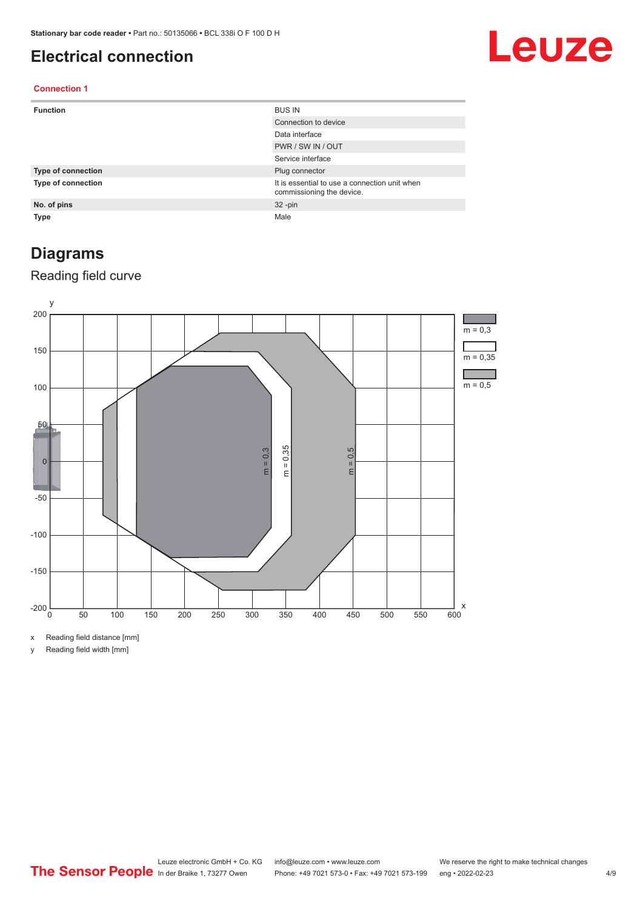### <span id="page-3-0"></span>**Electrical connection**

# Leuze

#### **Connection 1**

| <b>Function</b>           | <b>BUS IN</b>                                                              |
|---------------------------|----------------------------------------------------------------------------|
|                           | Connection to device                                                       |
|                           | Data interface                                                             |
|                           | PWR / SW IN / OUT                                                          |
|                           | Service interface                                                          |
| <b>Type of connection</b> | Plug connector                                                             |
| <b>Type of connection</b> | It is essential to use a connection unit when<br>commissioning the device. |
| No. of pins               | $32 - pin$                                                                 |
| <b>Type</b>               | Male                                                                       |

## **Diagrams**

#### Reading field curve



x Reading field distance [mm]

y Reading field width [mm]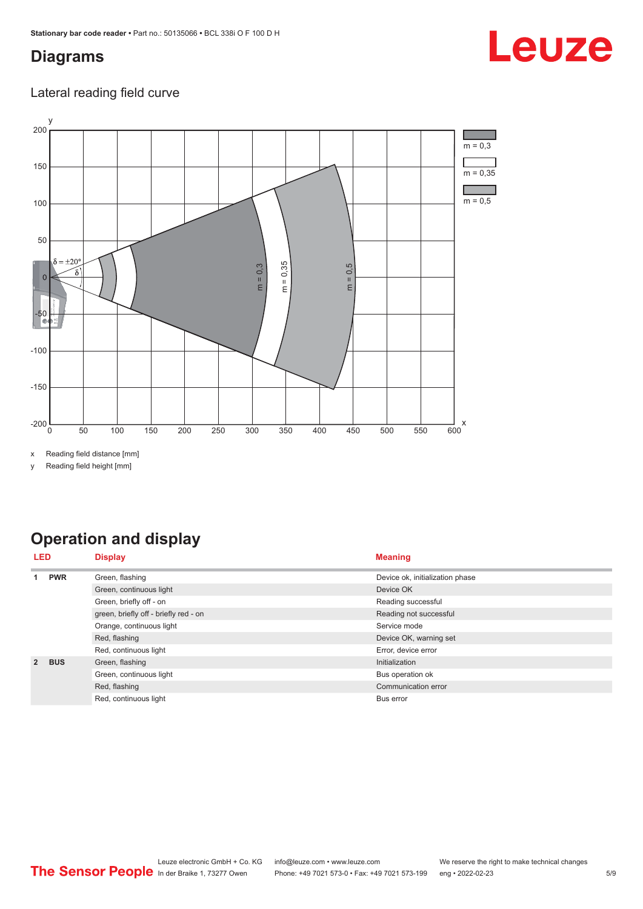### <span id="page-4-0"></span>**Diagrams**

# Leuze

#### Lateral reading field curve



x Reading field distance [mm]

y Reading field height [mm]

# **Operation and display**

| LED<br><b>Display</b> |            |                                       | <b>Meaning</b>                  |  |
|-----------------------|------------|---------------------------------------|---------------------------------|--|
|                       | <b>PWR</b> | Green, flashing                       | Device ok, initialization phase |  |
|                       |            | Green, continuous light               | Device OK                       |  |
|                       |            | Green, briefly off - on               | Reading successful              |  |
|                       |            | green, briefly off - briefly red - on | Reading not successful          |  |
|                       |            | Orange, continuous light              | Service mode                    |  |
|                       |            | Red, flashing                         | Device OK, warning set          |  |
|                       |            | Red, continuous light                 | Error, device error             |  |
| $\mathcal{P}$         | <b>BUS</b> | Green, flashing                       | Initialization                  |  |
|                       |            | Green, continuous light               | Bus operation ok                |  |
|                       |            | Red, flashing                         | Communication error             |  |
|                       |            | Red, continuous light                 | Bus error                       |  |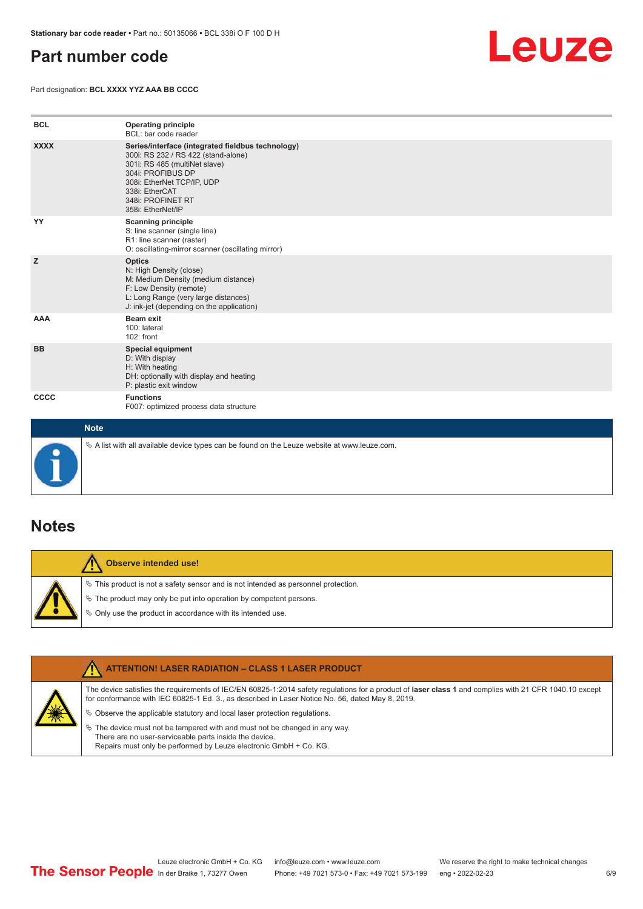### <span id="page-5-0"></span>**Part number code**

Part designation: **BCL XXXX YYZ AAA BB CCCC**



| <b>BCL</b>  | <b>Operating principle</b><br>BCL: bar code reader                                                                                                                                                                                       |
|-------------|------------------------------------------------------------------------------------------------------------------------------------------------------------------------------------------------------------------------------------------|
| <b>XXXX</b> | Series/interface (integrated fieldbus technology)<br>300i: RS 232 / RS 422 (stand-alone)<br>301i: RS 485 (multiNet slave)<br>304i: PROFIBUS DP<br>308i: EtherNet TCP/IP, UDP<br>338i: EtherCAT<br>348i: PROFINET RT<br>358i: EtherNet/IP |
| YY          | <b>Scanning principle</b><br>S: line scanner (single line)<br>R1: line scanner (raster)<br>O: oscillating-mirror scanner (oscillating mirror)                                                                                            |
| Z           | <b>Optics</b><br>N: High Density (close)<br>M: Medium Density (medium distance)<br>F: Low Density (remote)<br>L: Long Range (very large distances)<br>J: ink-jet (depending on the application)                                          |
| <b>AAA</b>  | <b>Beam exit</b><br>100: lateral<br>102: front                                                                                                                                                                                           |
| <b>BB</b>   | <b>Special equipment</b><br>D: With display<br>H: With heating<br>DH: optionally with display and heating<br>P: plastic exit window                                                                                                      |
| <b>CCCC</b> | <b>Functions</b><br>F007: optimized process data structure                                                                                                                                                                               |
| <b>Note</b> |                                                                                                                                                                                                                                          |



 $\%$  A list with all available device types can be found on the Leuze website at www.leuze.com.

### **Notes**

**Observe intended use!** Λ  $\%$  This product is not a safety sensor and is not intended as personnel protection.  $\%$  The product may only be put into operation by competent persons.  $\%$  Only use the product in accordance with its intended use.

| <b>ATTENTION! LASER RADIATION - CLASS 1 LASER PRODUCT</b>                                                                                                                                                                                                  |
|------------------------------------------------------------------------------------------------------------------------------------------------------------------------------------------------------------------------------------------------------------|
| The device satisfies the requirements of IEC/EN 60825-1:2014 safety requlations for a product of laser class 1 and complies with 21 CFR 1040.10 except<br>for conformance with IEC 60825-1 Ed. 3., as described in Laser Notice No. 56, dated May 8, 2019. |
| $\&$ Observe the applicable statutory and local laser protection requisitions.                                                                                                                                                                             |
| $\%$ The device must not be tampered with and must not be changed in any way.<br>There are no user-serviceable parts inside the device.<br>Repairs must only be performed by Leuze electronic GmbH + Co. KG.                                               |
|                                                                                                                                                                                                                                                            |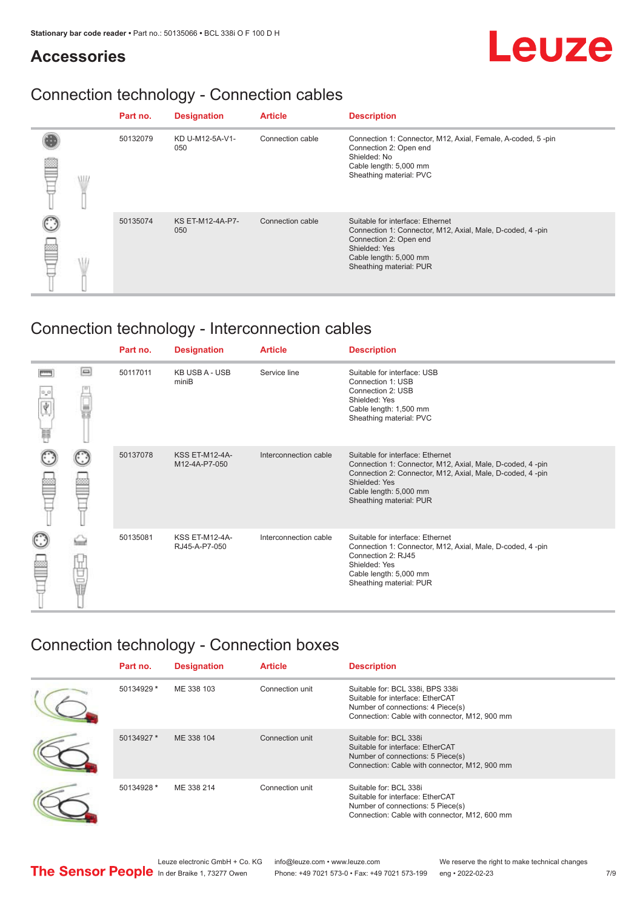# Leuze

### **Accessories**

# Connection technology - Connection cables

|  | Part no. | <b>Designation</b>             | <b>Article</b>   | <b>Description</b>                                                                                                                                                                            |
|--|----------|--------------------------------|------------------|-----------------------------------------------------------------------------------------------------------------------------------------------------------------------------------------------|
|  | 50132079 | KD U-M12-5A-V1-<br>050         | Connection cable | Connection 1: Connector, M12, Axial, Female, A-coded, 5-pin<br>Connection 2: Open end<br>Shielded: No<br>Cable length: 5,000 mm<br>Sheathing material: PVC                                    |
|  | 50135074 | <b>KS ET-M12-4A-P7-</b><br>050 | Connection cable | Suitable for interface: Ethernet<br>Connection 1: Connector, M12, Axial, Male, D-coded, 4-pin<br>Connection 2: Open end<br>Shielded: Yes<br>Cable length: 5,000 mm<br>Sheathing material: PUR |

# Connection technology - Interconnection cables

|                 |            | Part no. | <b>Designation</b>                     | <b>Article</b>        | <b>Description</b>                                                                                                                                                                                                               |
|-----------------|------------|----------|----------------------------------------|-----------------------|----------------------------------------------------------------------------------------------------------------------------------------------------------------------------------------------------------------------------------|
| $\sigma^2$<br>肩 | ▣          | 50117011 | <b>KB USB A - USB</b><br>miniB         | Service line          | Suitable for interface: USB<br>Connection 1: USB<br>Connection 2: USB<br>Shielded: Yes<br>Cable length: 1,500 mm<br>Sheathing material: PVC                                                                                      |
|                 |            | 50137078 | <b>KSS ET-M12-4A-</b><br>M12-4A-P7-050 | Interconnection cable | Suitable for interface: Ethernet<br>Connection 1: Connector, M12, Axial, Male, D-coded, 4-pin<br>Connection 2: Connector, M12, Axial, Male, D-coded, 4-pin<br>Shielded: Yes<br>Cable length: 5,000 mm<br>Sheathing material: PUR |
|                 | ti<br>Ultr | 50135081 | <b>KSS ET-M12-4A-</b><br>RJ45-A-P7-050 | Interconnection cable | Suitable for interface: Ethernet<br>Connection 1: Connector, M12, Axial, Male, D-coded, 4-pin<br>Connection 2: RJ45<br>Shielded: Yes<br>Cable length: 5,000 mm<br>Sheathing material: PUR                                        |

# Connection technology - Connection boxes

| Part no.   | <b>Designation</b> | <b>Article</b>  | <b>Description</b>                                                                                                                                         |
|------------|--------------------|-----------------|------------------------------------------------------------------------------------------------------------------------------------------------------------|
| 50134929 * | ME 338 103         | Connection unit | Suitable for: BCL 338i, BPS 338i<br>Suitable for interface: EtherCAT<br>Number of connections: 4 Piece(s)<br>Connection: Cable with connector, M12, 900 mm |
| 50134927 * | ME 338 104         | Connection unit | Suitable for: BCL 338i<br>Suitable for interface: EtherCAT<br>Number of connections: 5 Piece(s)<br>Connection: Cable with connector, M12, 900 mm           |
| 50134928 * | ME 338 214         | Connection unit | Suitable for: BCL 338i<br>Suitable for interface: EtherCAT<br>Number of connections: 5 Piece(s)<br>Connection: Cable with connector, M12, 600 mm           |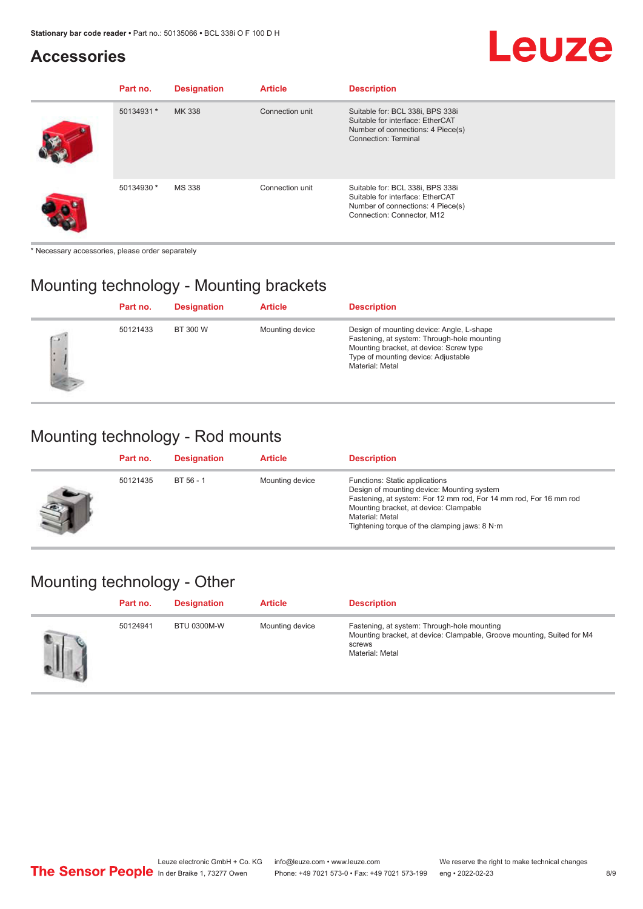# **Accessories**

#### **Part no.** Designation **Article Description** 50134931 **\*** MK 338 Connection unit Suitable for: BCL 338i, BPS 338i Suitable for interface: EtherCAT Number of connections: 4 Piece(s) Connection: Terminal 50134930 **\*** MS 338 Connection unit Suitable for: BCL 338i, BPS 338i Suitable for interface: EtherCAT Number of connections: 4 Piece(s) Connection: Connector, M12

\* Necessary accessories, please order separately

## Mounting technology - Mounting brackets

|      | Part no. | <b>Designation</b> | <b>Article</b>  | <b>Description</b>                                                                                                                                                                            |
|------|----------|--------------------|-----------------|-----------------------------------------------------------------------------------------------------------------------------------------------------------------------------------------------|
| $-1$ | 50121433 | BT 300 W           | Mounting device | Design of mounting device: Angle, L-shape<br>Fastening, at system: Through-hole mounting<br>Mounting bracket, at device: Screw type<br>Type of mounting device: Adjustable<br>Material: Metal |

## Mounting technology - Rod mounts

| Part no. | <b>Designation</b> | <b>Article</b>  | <b>Description</b>                                                                                                                                                                                                                                                |
|----------|--------------------|-----------------|-------------------------------------------------------------------------------------------------------------------------------------------------------------------------------------------------------------------------------------------------------------------|
| 50121435 | BT 56 - 1          | Mounting device | Functions: Static applications<br>Design of mounting device: Mounting system<br>Fastening, at system: For 12 mm rod, For 14 mm rod, For 16 mm rod<br>Mounting bracket, at device: Clampable<br>Material: Metal<br>Tightening torque of the clamping jaws: $8 N·m$ |

### Mounting technology - Other

| Part no. | <b>Designation</b> | <b>Article</b>  | <b>Description</b>                                                                                                                                 |
|----------|--------------------|-----------------|----------------------------------------------------------------------------------------------------------------------------------------------------|
| 50124941 | <b>BTU 0300M-W</b> | Mounting device | Fastening, at system: Through-hole mounting<br>Mounting bracket, at device: Clampable, Groove mounting, Suited for M4<br>screws<br>Material: Metal |

Leuze